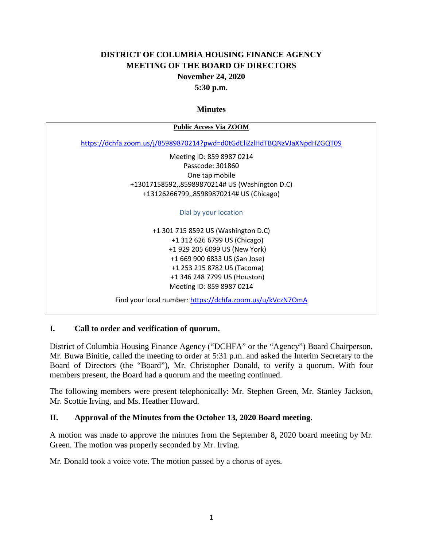# **DISTRICT OF COLUMBIA HOUSING FINANCE AGENCY MEETING OF THE BOARD OF DIRECTORS November 24, 2020 5:30 p.m.**

#### **Minutes**

| <b>Public Access Via ZOOM</b>                                            |
|--------------------------------------------------------------------------|
| https://dchfa.zoom.us/j/85989870214?pwd=d0tGdEliZzlHdTBQNzVJaXNpdHZGQT09 |
| Meeting ID: 859 8987 0214                                                |
| Passcode: 301860                                                         |
| One tap mobile                                                           |
| +13017158592,,85989870214# US (Washington D.C)                           |
| +13126266799,,85989870214# US (Chicago)                                  |
|                                                                          |
| Dial by your location                                                    |
|                                                                          |
| +1 301 715 8592 US (Washington D.C)                                      |
| +1 312 626 6799 US (Chicago)                                             |
| +1 929 205 6099 US (New York)                                            |
| +1 669 900 6833 US (San Jose)                                            |
| +1 253 215 8782 US (Tacoma)                                              |
| +1 346 248 7799 US (Houston)                                             |
| Meeting ID: 859 8987 0214                                                |

Find your local number[: https://dchfa.zoom.us/u/kVczN7OmA](https://dchfa.zoom.us/u/kVczN7OmA)

### **I. Call to order and verification of quorum.**

District of Columbia Housing Finance Agency ("DCHFA" or the "Agency") Board Chairperson, Mr. Buwa Binitie, called the meeting to order at 5:31 p.m. and asked the Interim Secretary to the Board of Directors (the "Board"), Mr. Christopher Donald, to verify a quorum. With four members present, the Board had a quorum and the meeting continued.

The following members were present telephonically: Mr. Stephen Green, Mr. Stanley Jackson, Mr. Scottie Irving, and Ms. Heather Howard.

### **II. Approval of the Minutes from the October 13, 2020 Board meeting.**

A motion was made to approve the minutes from the September 8, 2020 board meeting by Mr. Green. The motion was properly seconded by Mr. Irving.

Mr. Donald took a voice vote. The motion passed by a chorus of ayes.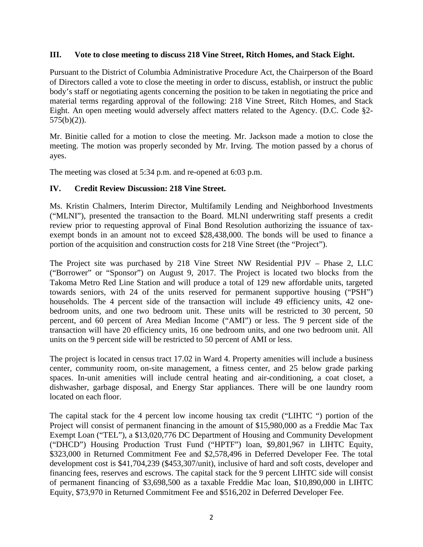#### **III. Vote to close meeting to discuss 218 Vine Street, Ritch Homes, and Stack Eight.**

Pursuant to the District of Columbia Administrative Procedure Act, the Chairperson of the Board of Directors called a vote to close the meeting in order to discuss, establish, or instruct the public body's staff or negotiating agents concerning the position to be taken in negotiating the price and material terms regarding approval of the following: 218 Vine Street, Ritch Homes, and Stack Eight. An open meeting would adversely affect matters related to the Agency. (D.C. Code §2-  $575(b)(2)$ ).

Mr. Binitie called for a motion to close the meeting. Mr. Jackson made a motion to close the meeting. The motion was properly seconded by Mr. Irving. The motion passed by a chorus of ayes.

The meeting was closed at 5:34 p.m. and re-opened at 6:03 p.m.

### **IV. Credit Review Discussion: 218 Vine Street.**

Ms. Kristin Chalmers, Interim Director, Multifamily Lending and Neighborhood Investments ("MLNI"), presented the transaction to the Board. MLNI underwriting staff presents a credit review prior to requesting approval of Final Bond Resolution authorizing the issuance of taxexempt bonds in an amount not to exceed \$28,438,000. The bonds will be used to finance a portion of the acquisition and construction costs for 218 Vine Street (the "Project").

The Project site was purchased by 218 Vine Street NW Residential PJV – Phase 2, LLC ("Borrower" or "Sponsor") on August 9, 2017. The Project is located two blocks from the Takoma Metro Red Line Station and will produce a total of 129 new affordable units, targeted towards seniors, with 24 of the units reserved for permanent supportive housing ("PSH") households. The 4 percent side of the transaction will include 49 efficiency units, 42 onebedroom units, and one two bedroom unit. These units will be restricted to 30 percent, 50 percent, and 60 percent of Area Median Income ("AMI") or less. The 9 percent side of the transaction will have 20 efficiency units, 16 one bedroom units, and one two bedroom unit. All units on the 9 percent side will be restricted to 50 percent of AMI or less.

The project is located in census tract 17.02 in Ward 4. Property amenities will include a business center, community room, on-site management, a fitness center, and 25 below grade parking spaces. In-unit amenities will include central heating and air-conditioning, a coat closet, a dishwasher, garbage disposal, and Energy Star appliances. There will be one laundry room located on each floor.

The capital stack for the 4 percent low income housing tax credit ("LIHTC ") portion of the Project will consist of permanent financing in the amount of \$15,980,000 as a Freddie Mac Tax Exempt Loan ("TEL"), a \$13,020,776 DC Department of Housing and Community Development ("DHCD") Housing Production Trust Fund ("HPTF") loan, \$9,801,967 in LIHTC Equity, \$323,000 in Returned Commitment Fee and \$2,578,496 in Deferred Developer Fee. The total development cost is \$41,704,239 (\$453,307/unit), inclusive of hard and soft costs, developer and financing fees, reserves and escrows. The capital stack for the 9 percent LIHTC side will consist of permanent financing of \$3,698,500 as a taxable Freddie Mac loan, \$10,890,000 in LIHTC Equity, \$73,970 in Returned Commitment Fee and \$516,202 in Deferred Developer Fee.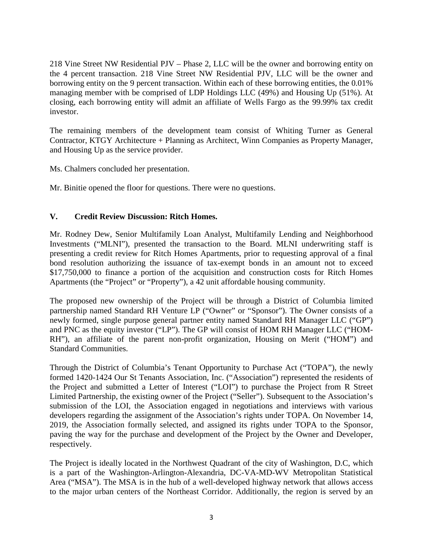218 Vine Street NW Residential PJV – Phase 2, LLC will be the owner and borrowing entity on the 4 percent transaction. 218 Vine Street NW Residential PJV, LLC will be the owner and borrowing entity on the 9 percent transaction. Within each of these borrowing entities, the 0.01% managing member with be comprised of LDP Holdings LLC (49%) and Housing Up (51%). At closing, each borrowing entity will admit an affiliate of Wells Fargo as the 99.99% tax credit investor.

The remaining members of the development team consist of Whiting Turner as General Contractor, KTGY Architecture + Planning as Architect, Winn Companies as Property Manager, and Housing Up as the service provider.

Ms. Chalmers concluded her presentation.

Mr. Binitie opened the floor for questions. There were no questions.

### **V. Credit Review Discussion: Ritch Homes.**

Mr. Rodney Dew, Senior Multifamily Loan Analyst, Multifamily Lending and Neighborhood Investments ("MLNI"), presented the transaction to the Board. MLNI underwriting staff is presenting a credit review for Ritch Homes Apartments, prior to requesting approval of a final bond resolution authorizing the issuance of tax-exempt bonds in an amount not to exceed \$17,750,000 to finance a portion of the acquisition and construction costs for Ritch Homes Apartments (the "Project" or "Property"), a 42 unit affordable housing community.

The proposed new ownership of the Project will be through a District of Columbia limited partnership named Standard RH Venture LP ("Owner" or "Sponsor"). The Owner consists of a newly formed, single purpose general partner entity named Standard RH Manager LLC ("GP") and PNC as the equity investor ("LP"). The GP will consist of HOM RH Manager LLC ("HOM-RH"), an affiliate of the parent non-profit organization, Housing on Merit ("HOM") and Standard Communities.

Through the District of Columbia's Tenant Opportunity to Purchase Act ("TOPA"), the newly formed 1420-1424 Our St Tenants Association, Inc. ("Association") represented the residents of the Project and submitted a Letter of Interest ("LOI") to purchase the Project from R Street Limited Partnership, the existing owner of the Project ("Seller"). Subsequent to the Association's submission of the LOI, the Association engaged in negotiations and interviews with various developers regarding the assignment of the Association's rights under TOPA. On November 14, 2019, the Association formally selected, and assigned its rights under TOPA to the Sponsor, paving the way for the purchase and development of the Project by the Owner and Developer, respectively.

The Project is ideally located in the Northwest Quadrant of the city of Washington, D.C, which is a part of the Washington-Arlington-Alexandria, DC-VA-MD-WV Metropolitan Statistical Area ("MSA"). The MSA is in the hub of a well-developed highway network that allows access to the major urban centers of the Northeast Corridor. Additionally, the region is served by an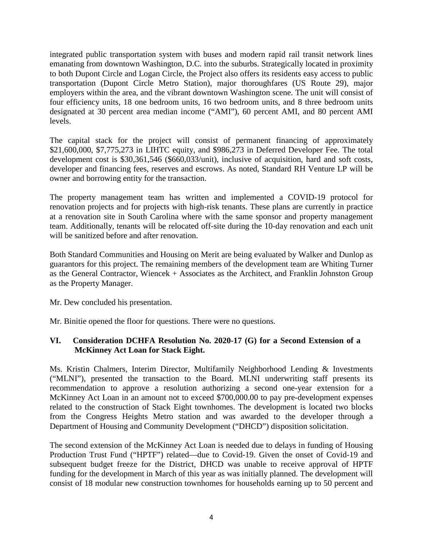integrated public transportation system with buses and modern rapid rail transit network lines emanating from downtown Washington, D.C. into the suburbs. Strategically located in proximity to both Dupont Circle and Logan Circle, the Project also offers its residents easy access to public transportation (Dupont Circle Metro Station), major thoroughfares (US Route 29), major employers within the area, and the vibrant downtown Washington scene. The unit will consist of four efficiency units, 18 one bedroom units, 16 two bedroom units, and 8 three bedroom units designated at 30 percent area median income ("AMI"), 60 percent AMI, and 80 percent AMI levels.

The capital stack for the project will consist of permanent financing of approximately \$21,600,000, \$7,775,273 in LIHTC equity, and \$986,273 in Deferred Developer Fee. The total development cost is \$30,361,546 (\$660,033/unit), inclusive of acquisition, hard and soft costs, developer and financing fees, reserves and escrows. As noted, Standard RH Venture LP will be owner and borrowing entity for the transaction.

The property management team has written and implemented a COVID-19 protocol for renovation projects and for projects with high-risk tenants. These plans are currently in practice at a renovation site in South Carolina where with the same sponsor and property management team. Additionally, tenants will be relocated off-site during the 10-day renovation and each unit will be sanitized before and after renovation.

Both Standard Communities and Housing on Merit are being evaluated by Walker and Dunlop as guarantors for this project. The remaining members of the development team are Whiting Turner as the General Contractor, Wiencek + Associates as the Architect, and Franklin Johnston Group as the Property Manager.

Mr. Dew concluded his presentation.

Mr. Binitie opened the floor for questions. There were no questions.

### **VI. Consideration DCHFA Resolution No. 2020-17 (G) for a Second Extension of a McKinney Act Loan for Stack Eight.**

Ms. Kristin Chalmers, Interim Director, Multifamily Neighborhood Lending & Investments ("MLNI"), presented the transaction to the Board. MLNI underwriting staff presents its recommendation to approve a resolution authorizing a second one-year extension for a McKinney Act Loan in an amount not to exceed \$700,000.00 to pay pre-development expenses related to the construction of Stack Eight townhomes. The development is located two blocks from the Congress Heights Metro station and was awarded to the developer through a Department of Housing and Community Development ("DHCD") disposition solicitation.

The second extension of the McKinney Act Loan is needed due to delays in funding of Housing Production Trust Fund ("HPTF") related—due to Covid-19. Given the onset of Covid-19 and subsequent budget freeze for the District, DHCD was unable to receive approval of HPTF funding for the development in March of this year as was initially planned. The development will consist of 18 modular new construction townhomes for households earning up to 50 percent and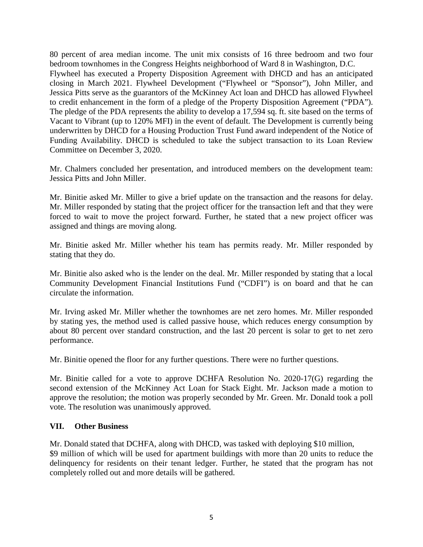80 percent of area median income. The unit mix consists of 16 three bedroom and two four bedroom townhomes in the Congress Heights neighborhood of Ward 8 in Washington, D.C. Flywheel has executed a Property Disposition Agreement with DHCD and has an anticipated closing in March 2021. Flywheel Development ("Flywheel or "Sponsor"), John Miller, and Jessica Pitts serve as the guarantors of the McKinney Act loan and DHCD has allowed Flywheel to credit enhancement in the form of a pledge of the Property Disposition Agreement ("PDA"). The pledge of the PDA represents the ability to develop a 17,594 sq. ft. site based on the terms of Vacant to Vibrant (up to 120% MFI) in the event of default. The Development is currently being underwritten by DHCD for a Housing Production Trust Fund award independent of the Notice of Funding Availability. DHCD is scheduled to take the subject transaction to its Loan Review Committee on December 3, 2020.

Mr. Chalmers concluded her presentation, and introduced members on the development team: Jessica Pitts and John Miller.

Mr. Binitie asked Mr. Miller to give a brief update on the transaction and the reasons for delay. Mr. Miller responded by stating that the project officer for the transaction left and that they were forced to wait to move the project forward. Further, he stated that a new project officer was assigned and things are moving along.

Mr. Binitie asked Mr. Miller whether his team has permits ready. Mr. Miller responded by stating that they do.

Mr. Binitie also asked who is the lender on the deal. Mr. Miller responded by stating that a local Community Development Financial Institutions Fund ("CDFI") is on board and that he can circulate the information.

Mr. Irving asked Mr. Miller whether the townhomes are net zero homes. Mr. Miller responded by stating yes, the method used is called passive house, which reduces energy consumption by about 80 percent over standard construction, and the last 20 percent is solar to get to net zero performance.

Mr. Binitie opened the floor for any further questions. There were no further questions.

Mr. Binitie called for a vote to approve DCHFA Resolution No. 2020-17(G) regarding the second extension of the McKinney Act Loan for Stack Eight. Mr. Jackson made a motion to approve the resolution; the motion was properly seconded by Mr. Green. Mr. Donald took a poll vote. The resolution was unanimously approved.

#### **VII. Other Business**

Mr. Donald stated that DCHFA, along with DHCD, was tasked with deploying \$10 million, \$9 million of which will be used for apartment buildings with more than 20 units to reduce the delinquency for residents on their tenant ledger. Further, he stated that the program has not completely rolled out and more details will be gathered.